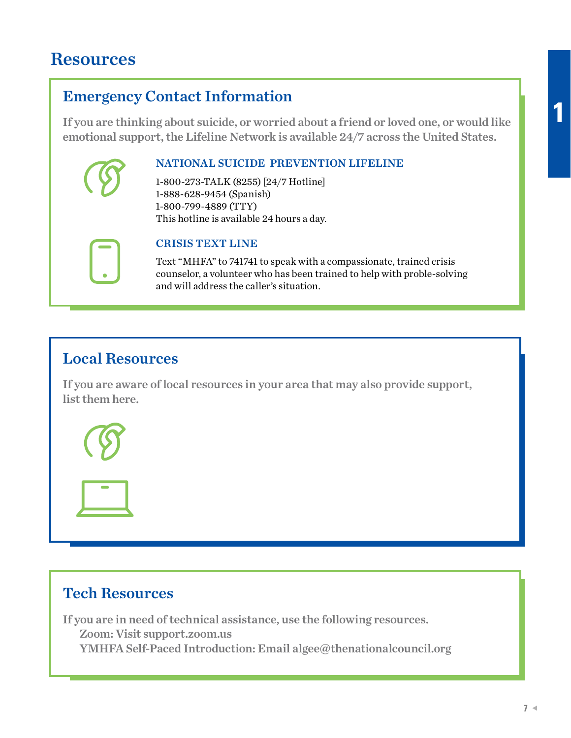## **Resources**

## Emergency Contact Information

If you are thinking about suicide, or worried about a friend or loved one, or would like emotional support, the Lifeline Network is available 24/7 across the United States.

#### NATIONAL SUICIDE PREVENTION LIFELINE

1-800-273-TALK (8255) [24/7 Hotline] 1-888-628-9454 (Spanish) 1-800-799-4889 (TTY) This hotline is available 24 hours a day.



#### CRISIS TEXT LINE

Text "MHFA" to 741741 to speak with a compassionate, trained crisis counselor, a volunteer who has been trained to help with proble-solving and will address the caller's situation.

## Local Resources

If you are aware of local resources in your area that may also provide support, list them here.





If you are in need of technical assistance, use the following resources. Zoom: Visit support.zoom.us YMHFA Self-Paced Introduction: Email algee@thenationalcouncil.org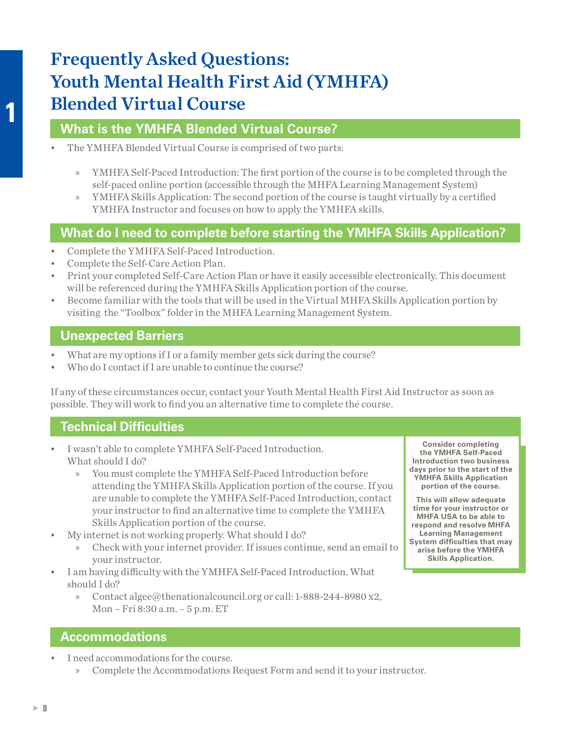# Frequently Asked Questions: Youth Mental Health First Aid (YMHFA) Blended Virtual Course

#### **What is the YMHFA Blended Virtual Course?**

- The YMHFA Blended Virtual Course is comprised of two parts:
	- » YMHFA Self-Paced Introduction: The first portion of the course is to be completed through the self-paced online portion (accessible through the MHFA Learning Management System)
	- » YMHFA Skills Application: The second portion of the course is taught virtually by a certified YMHFA Instructor and focuses on how to apply the YMHFA skills.

### **What do I need to complete before starting the YMHFA Skills Application?**

- Complete the YMHFA Self-Paced Introduction.
- Complete the Self-Care Action Plan.
- Print your completed Self-Care Action Plan or have it easily accessible electronically. This document will be referenced during the YMHFA Skills Application portion of the course.
- Become familiar with the tools that will be used in the Virtual MHFA Skills Application portion by visiting the "Toolbox" folder in the MHFA Learning Management System.

#### **Unexpected Barriers**

- What are my options if I or a family member gets sick during the course?
- Who do I contact if I are unable to continue the course?

If any of these circumstances occur, contact your Youth Mental Health First Aid Instructor as soon as possible. They will work to find you an alternative time to complete the course.

### **Technical Difficulties**

- I wasn't able to complete YMHFA Self-Paced Introduction. What should I do?
	- » You must complete the YMHFA Self-Paced Introduction before attending the YMHFA Skills Application portion of the course. If you are unable to complete the YMHFA Self-Paced Introduction, contact your instructor to find an alternative time to complete the YMHFA Skills Application portion of the course.
- My internet is not working properly. What should I do?
	- » Check with your internet provider. If issues continue, send an email to your instructor.
- I am having difficulty with the YMHFA Self-Paced Introduction. What should I do?
	- » Contact algee@thenationalcouncil.org or call: 1-888-244-8980 x2, Mon – Fri 8:30 a.m. – 5 p.m. ET

**Consider completing the YMHFA Self-Paced Introduction two business days prior to the start of the YMHFA Skills Application portion of the course.** 

**This will allow adequate time for your instructor or MHFA USA to be able to respond and resolve MHFA Learning Management System difficulties that may arise before the YMHFA Skills Application.**

#### **Accommodations**

- I need accommodations for the course.
	- » Complete the Accommodations Request Form and send it to your instructor.